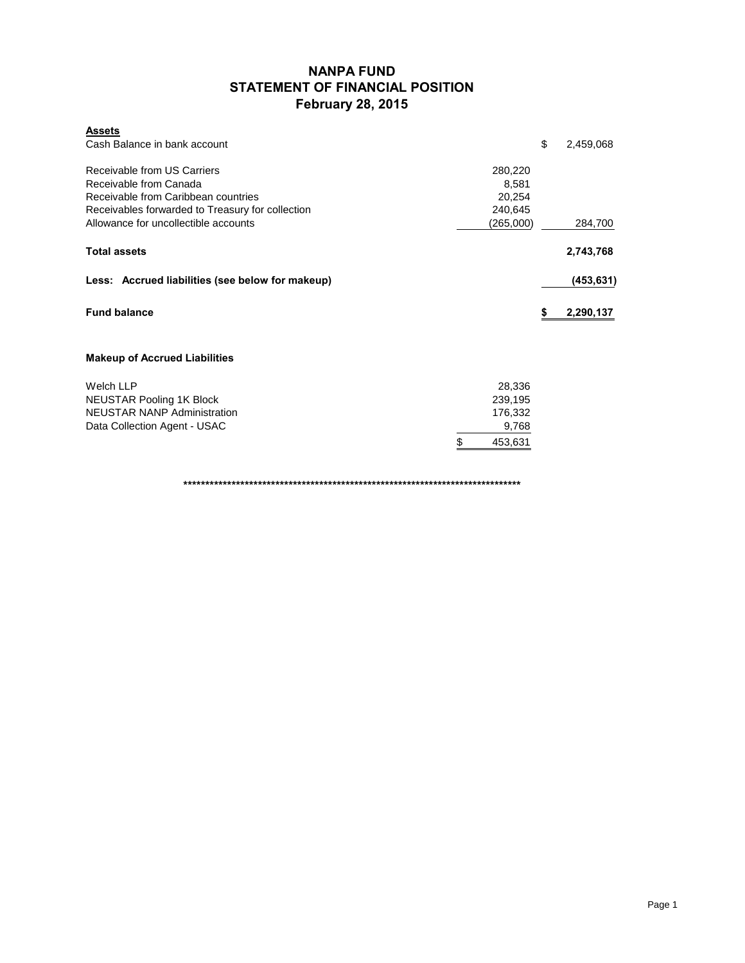## **NANPA FUND STATEMENT OF FINANCIAL POSITION February 28, 2015**

| <b>Assets</b><br>Cash Balance in bank account                 |                 | \$ | 2,459,068  |
|---------------------------------------------------------------|-----------------|----|------------|
| Receivable from US Carriers                                   | 280,220         |    |            |
| Receivable from Canada<br>Receivable from Caribbean countries | 8,581<br>20,254 |    |            |
| Receivables forwarded to Treasury for collection              | 240,645         |    |            |
| Allowance for uncollectible accounts                          | (265,000)       |    | 284,700    |
| <b>Total assets</b>                                           |                 |    | 2,743,768  |
| Less: Accrued liabilities (see below for makeup)              |                 |    | (453, 631) |
| <b>Fund balance</b>                                           |                 | S  | 2,290,137  |
| <b>Makeup of Accrued Liabilities</b>                          |                 |    |            |
| <b>Welch LLP</b>                                              | 28,336          |    |            |
| NEUSTAR Pooling 1K Block                                      | 239,195         |    |            |
| <b>NEUSTAR NANP Administration</b>                            | 176,332         |    |            |
| Data Collection Agent - USAC                                  | 9,768           |    |            |

**\*\*\*\*\*\*\*\*\*\*\*\*\*\*\*\*\*\*\*\*\*\*\*\*\*\*\*\*\*\*\*\*\*\*\*\*\*\*\*\*\*\*\*\*\*\*\*\*\*\*\*\*\*\*\*\*\*\*\*\*\*\*\*\*\*\*\*\*\*\*\*\*\*\*\*\*\***

\$ 453,631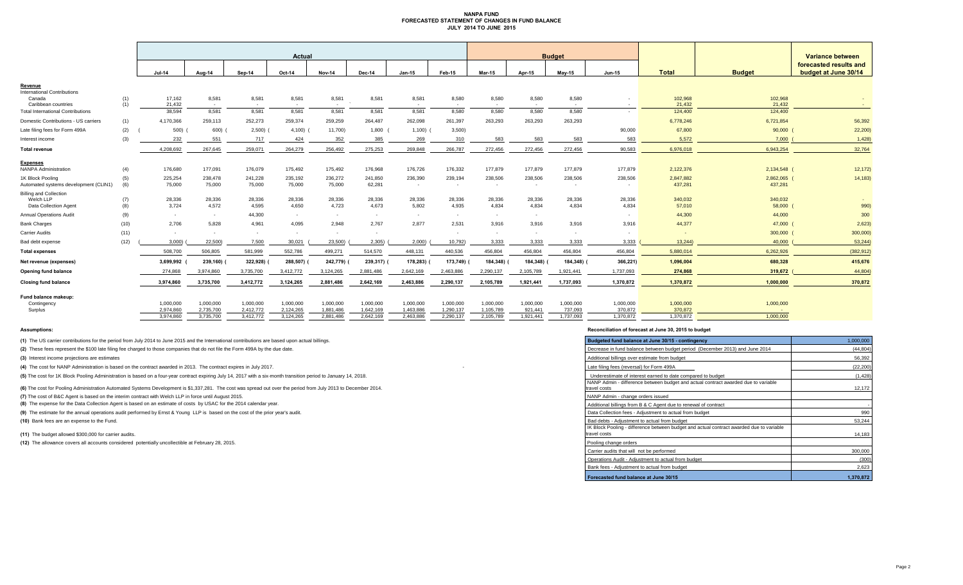#### **NANPA FUND FORECASTED STATEMENT OF CHANGES IN FUND BALANCE JULY 2014 TO JUNE 2015**

|                                                                     |            | Actual                 |                        |                        |                        |                        |                        |                        |                        | <b>Budget</b>            |                      |                      |                      |                      |                        | Variance between                               |  |
|---------------------------------------------------------------------|------------|------------------------|------------------------|------------------------|------------------------|------------------------|------------------------|------------------------|------------------------|--------------------------|----------------------|----------------------|----------------------|----------------------|------------------------|------------------------------------------------|--|
|                                                                     |            | $Jul-14$               | Aug-14                 | Sep-14                 | Oct-14                 | <b>Nov-14</b>          | Dec-14                 | $Jan-15$               | Feb-15                 | <b>Mar-15</b>            | Apr-15               | <b>Mav-15</b>        | <b>Jun-15</b>        | <b>Total</b>         | <b>Budget</b>          | forecasted results and<br>budget at June 30/14 |  |
| Revenue                                                             |            |                        |                        |                        |                        |                        |                        |                        |                        |                          |                      |                      |                      |                      |                        |                                                |  |
| <b>International Contributions</b><br>Canada<br>Caribbean countries | (1)<br>(1) | 17,162<br>21,432       | 8,581<br>$\sim$        | 8,581<br>$\sim$        | 8,581<br>$\sim$        | 8,581<br>$\sim$        | 8,581                  | 8,581<br>$\sim$        | 8,580<br>$\sim$        | 8,580<br>$\sim$          | 8,580<br>$\sim$      | 8,580<br>$\sim$      | $\sim$               | 102,968<br>21,432    | 102,968<br>21,432      | $\sim 100$                                     |  |
| <b>Total International Contributions</b>                            |            | 38,594                 | 8,581                  | 8,581                  | 8,581                  | 8,581                  | 8,581                  | 8,581                  | 8,580                  | 8,580                    | 8,580                | 8,580                |                      | 124,400              | 124,400                |                                                |  |
| Domestic Contributions - US carriers                                | (1)        | 4,170,366              | 259.113                | 252,273                | 259.374                | 259,259                | 264.487                | 262,098                | 261,397                | 263,293                  | 263,293              | 263,293              |                      | 6,778,246            | 6,721,854              | 56,392                                         |  |
| Late filing fees for Form 499A                                      | (2)        | 500)                   | 600)                   | 2,500                  | 4,100                  | 11,700)                | 1,800                  | 1,100                  | 3,500                  |                          |                      |                      | 90,000               | 67,800               | 90,000                 | 22,200                                         |  |
| Interest income                                                     | (3)        | 232                    | 551                    | 717                    | 424                    | 352                    | 385                    | 269                    | 310                    | 583                      | 583                  | 583                  | 583                  | 5,572                | 7,000                  | 1,428                                          |  |
| <b>Total revenue</b>                                                |            | 4,208,692              | 267,645                | 259,071                | 264,279                | 256,492                | 275,253                | 269,848                | 266,787                | 272,456                  | 272,456              | 272,456              | 90,583               | 6,976,018            | 6,943,254              | 32,764                                         |  |
| <b>Expenses</b>                                                     |            |                        |                        |                        |                        |                        |                        |                        |                        |                          |                      |                      |                      |                      |                        |                                                |  |
| <b>NANPA Administration</b>                                         | (4)        | 176,680                | 177,091                | 176,079                | 175,492                | 175,492                | 176,968                | 176,726                | 176,332                | 177,879                  | 177,879              | 177,879              | 177,879              | 2,122,376            | 2,134,548 (            | 12,172)                                        |  |
| 1K Block Pooling<br>Automated systems development (CLIN1)           | (5)<br>(6) | 225,254<br>75,000      | 238,478<br>75,000      | 241,228<br>75,000      | 235,192<br>75,000      | 236,272<br>75,000      | 241,850<br>62,281      | 236,390<br>$\sim$      | 239,194<br>$\sim$      | 238,506<br>$\sim$        | 238,506<br>$\sim$    | 238,506<br>$\sim$    | 238,506              | 2,847,882<br>437,281 | 2,862,065 (<br>437,281 | 14,183)                                        |  |
| <b>Billing and Collection</b><br>Welch LLP<br>Data Collection Agent | (7)<br>(8) | 28,336<br>3,724        | 28,336<br>4,572        | 28,336<br>4,595        | 28,336<br>4,650        | 28,336<br>4,723        | 28,336<br>4,673        | 28,336<br>5,802        | 28,336<br>4,935        | 28,336<br>4,834          | 28,336<br>4,834      | 28,336<br>4,834      | 28,336<br>4,834      | 340,032<br>57,010    | 340,032<br>58,000      | 990)                                           |  |
| <b>Annual Operations Audit</b>                                      | (9)        | $\sim$                 | $\sim$                 | 44,300                 | $\sim$                 | $\sim$                 | $\sim$                 | $\sim$                 | $\sim$                 | $\sim$                   | $\sim$               |                      | $\sim$               | 44,300               | 44,000                 | 300                                            |  |
| <b>Bank Charges</b>                                                 | (10)       | 2,706                  | 5,828                  | 4,961                  | 4,095                  | 2,948                  | 2.767                  | 2,877                  | 2,531                  | 3,916                    | 3.916                | 3,916                | 3,916                | 44,377               | 47,000                 | 2,623)                                         |  |
| Carrier Audits                                                      | (11)       | $\sim$                 |                        | $\sim$                 | $\sim$                 | $\sim$                 | $\sim$                 |                        | $\sim$                 | $\overline{\phantom{a}}$ | $\sim$               | $\sim$               | $\sim$               |                      | 300,000                | 300,000                                        |  |
| Bad debt expense                                                    | (12)       | 3,000                  | 22,500)                | 7,500                  | 30,021                 | 23,500)                | 2,305)                 | 2,000                  | 10,792)                | 3,333                    | 3,333                | 3,333                | 3,333                | 13,244               | 40,000                 | 53,244                                         |  |
| <b>Total expenses</b>                                               |            | 508,700                | 506,805                | 581,999                | 552,786                | 499,271                | 514,570                | 448,131                | 440,536                | 456,804                  | 456,804              | 456,804              | 456,804              | 5,880,014            | 6,262,926              | (382, 912)                                     |  |
| Net revenue (expenses)                                              |            | 3,699,992              | 239,160)               | 322,928)               | 288,507)               | 242,779)               | 239,317)               | 178,283)               | 173,749)               | 184,348)                 | 184,348)             | 184,348)             | 366,221)             | 1,096,004            | 680,328                | 415,676                                        |  |
| Opening fund balance                                                |            | 274,868                | 3,974,860              | 3,735,700              | 3,412,772              | 3,124,265              | 2,881,486              | 2,642,169              | 2,463,886              | 2,290,137                | 2,105,789            | 1,921,441            | 1,737,093            | 274.868              | 319,672                | 44,804                                         |  |
| <b>Closing fund balance</b>                                         |            | 3,974,860              | 3,735,700              | 3,412,772              | 3,124,265              | 2,881,486              | 2,642,169              | 2,463,886              | 2,290,137              | 2,105,789                | 1,921,44             | 1,737,093            | 1,370,872            | 1,370,872            | 1,000,000              | 370,872                                        |  |
| Fund balance makeup:                                                |            |                        |                        |                        |                        |                        |                        |                        |                        |                          |                      |                      |                      |                      |                        |                                                |  |
| Contingency<br>Surplus                                              |            | 1,000,000<br>2,974,860 | 1,000,000<br>2,735,700 | 1,000,000<br>2,412,772 | 1,000,000<br>2,124,265 | 1,000,000<br>1,881,486 | 1,000,000<br>1,642,169 | 1,000,000<br>1,463,886 | 1,000,000<br>1,290,137 | 1,000,000<br>1,105,789   | 1,000,000<br>921,441 | 1,000,000<br>737,093 | 1,000,000<br>370,872 | 1,000,000<br>370,872 | 1,000,000              |                                                |  |
|                                                                     |            | 3,974,860              | 3,735,700              | 3,412,772              | 3,124,265              | 2,881,486              | 2,642,169              | 2,463,886              | 2,290,137              | 2,105,789                | 1,921,441            | 1,737,093            | 1,370,872            | 1,370,872            | 1.000.000              |                                                |  |

**(1)** The US carrier contributions for the period from July 2014 to June 2015 and the International contributions are based upon actual billings.

(2) These fees represent the \$100 late filing fee charged to those companies that do not file the Form 499A by the due date.

**(3)** Interest income projections are estimates

**(4)** The cost for NANP Administration is based on the contract awarded in 2013. The contract expires in July 2017.

(5) The cost for 1K Block Pooling Administration is based on a four-year contract expiring July 14, 2017 with a six-month transition period to January 14, 2018.

**(6)** The cost for Pooling Administration Automated Systems Development is \$1,337,281. The cost was spread out over the period from July 2013 to December 2014.

**(7)** The cost of B&C Agent is based on the interim contract with Welch LLP in force until August 2015.

**(8)** The expense for the Data Collection Agent is based on an estimate of costs by USAC for the 2014 calendar year.

(9) The estimate for the annual operations audit performed by Ernst & Young LLP is based on the cost of the prior year's audit.

**(10)** Bank fees are an expense to the Fund.

**(11)** The budget allowed \$300,000 for carrier audits.

(12) The allowance covers all accounts considered potentially uncollectible at February 28, 2015.

#### **Assumptions: Reconciliation of forecast at June 30, 2015 to budget**

| Budgeted fund balance at June 30/15 - contingency                                                        | 1,000,000 |
|----------------------------------------------------------------------------------------------------------|-----------|
| Decrease in fund balance between budget period (December 2013) and June 2014                             | (44, 804) |
| Additional billings over estimate from budget                                                            | 56,392    |
| Late filing fees (reversal) for Form 499A                                                                | (22, 200) |
| Underestimate of interest earned to date compared to budget                                              | (1, 428)  |
| NANP Admin - difference between budget and actual contract awarded due to variable<br>travel costs       | 12,172    |
| NANP Admin - change orders issued                                                                        |           |
| Additional billings from B & C Agent due to renewal of contract                                          |           |
| Data Collection fees - Adjustment to actual from budget                                                  | 990       |
| Bad debts - Adiustment to actual from budget                                                             | 53,244    |
| IK Block Pooling - difference between budget and actual contract awarded due to variable<br>travel costs | 14,183    |
| Pooling change orders                                                                                    |           |
| Carrier audits that will not be performed                                                                | 300,000   |
| Operations Audit - Adjustment to actual from budget                                                      | (300)     |
| Bank fees - Adjustment to actual from budget                                                             | 2,623     |
| Forecasted fund balance at June 30/15                                                                    | 1,370,872 |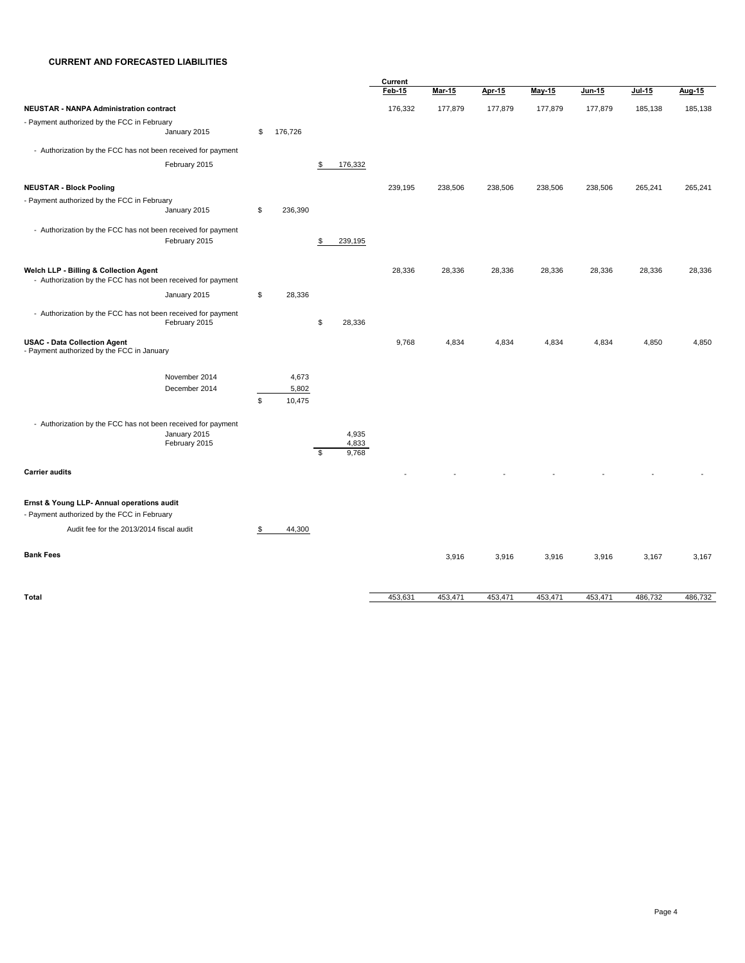#### **CURRENT AND FORECASTED LIABILITIES**

|                                                                                                        |                                |                                |                               | Current |               |         |         |         |         |         |
|--------------------------------------------------------------------------------------------------------|--------------------------------|--------------------------------|-------------------------------|---------|---------------|---------|---------|---------|---------|---------|
|                                                                                                        |                                |                                |                               | Feb 15  | <u>Mar 15</u> | Apr-15  | May 15  | Jun 15  | Jul 15  | Aug-15  |
| <b>NEUSTAR - NANPA Administration contract</b>                                                         |                                |                                |                               | 176,332 | 177,879       | 177,879 | 177,879 | 177,879 | 185,138 | 185,138 |
| - Payment authorized by the FCC in February                                                            | January 2015                   | \$<br>176,726                  |                               |         |               |         |         |         |         |         |
| - Authorization by the FCC has not been received for payment                                           |                                |                                |                               |         |               |         |         |         |         |         |
|                                                                                                        | February 2015                  |                                | \$<br>176,332                 |         |               |         |         |         |         |         |
| <b>NEUSTAR - Block Pooling</b>                                                                         |                                |                                |                               | 239,195 | 238,506       | 238,506 | 238,506 | 238,506 | 265,241 | 265,241 |
| - Payment authorized by the FCC in February                                                            | January 2015                   | \$<br>236,390                  |                               |         |               |         |         |         |         |         |
| - Authorization by the FCC has not been received for payment                                           | February 2015                  |                                | \$<br>239,195                 |         |               |         |         |         |         |         |
| Welch LLP - Billing & Collection Agent<br>- Authorization by the FCC has not been received for payment |                                |                                |                               | 28,336  | 28,336        | 28,336  | 28,336  | 28,336  | 28,336  | 28,336  |
|                                                                                                        | January 2015                   | \$<br>28,336                   |                               |         |               |         |         |         |         |         |
| - Authorization by the FCC has not been received for payment                                           | February 2015                  |                                | \$<br>28,336                  |         |               |         |         |         |         |         |
| <b>USAC - Data Collection Agent</b><br>- Payment authorized by the FCC in January                      |                                |                                |                               | 9,768   | 4,834         | 4,834   | 4,834   | 4,834   | 4,850   | 4,850   |
|                                                                                                        | November 2014<br>December 2014 | \$<br>4,673<br>5,802<br>10,475 |                               |         |               |         |         |         |         |         |
| - Authorization by the FCC has not been received for payment                                           | January 2015<br>February 2015  |                                | \$<br>4,935<br>4,833<br>9,768 |         |               |         |         |         |         |         |
| <b>Carrier audits</b>                                                                                  |                                |                                |                               |         |               |         |         |         |         |         |
| Ernst & Young LLP- Annual operations audit<br>- Payment authorized by the FCC in February              |                                |                                |                               |         |               |         |         |         |         |         |
| Audit fee for the 2013/2014 fiscal audit                                                               |                                | \$<br>44,300                   |                               |         |               |         |         |         |         |         |
| <b>Bank Fees</b>                                                                                       |                                |                                |                               |         | 3,916         | 3,916   | 3,916   | 3,916   | 3,167   | 3,167   |
| <b>Total</b>                                                                                           |                                |                                |                               | 453,631 | 453,471       | 453,471 | 453,471 | 453,471 | 486,732 | 486,732 |